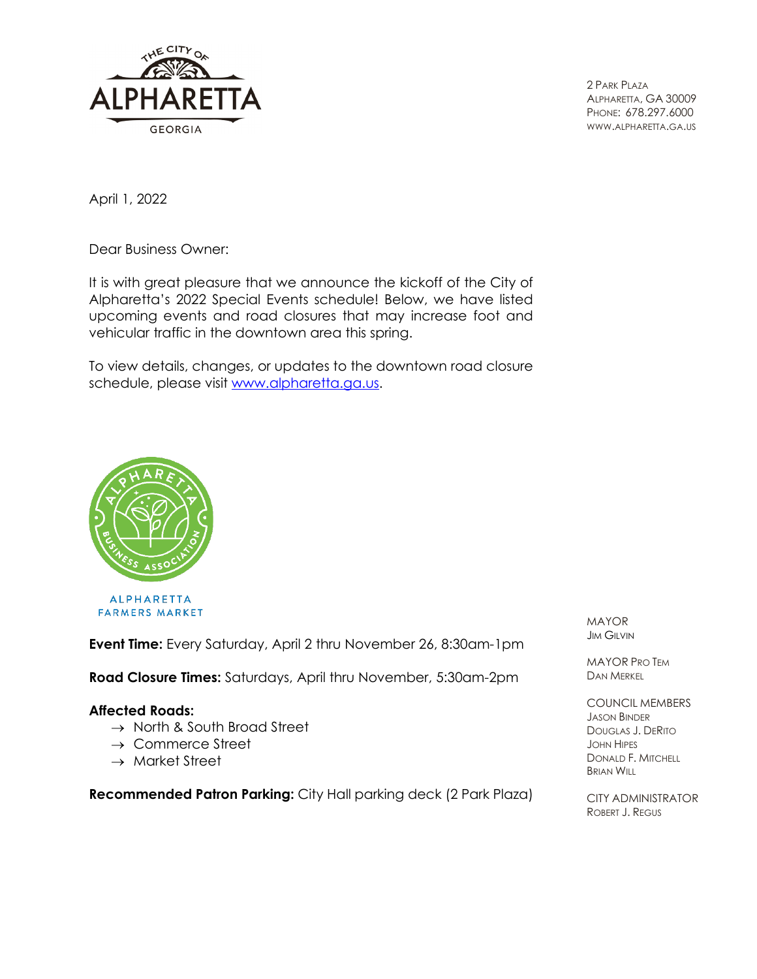

2 PARK PLAZA ALPHARETTA, GA 30009 PHONE: 678.297.6000 WWW.ALPHARETTA.GA.US

April 1, 2022

Dear Business Owner:

It is with great pleasure that we announce the kickoff of the City of Alpharetta's 2022 Special Events schedule! Below, we have listed upcoming events and road closures that may increase foot and vehicular traffic in the downtown area this spring.

To view details, changes, or updates to the downtown road closure schedule, please visit [www.alpharetta.ga.us.](https://www.alpharetta.ga.us/government/departments/recreation-parks/special-events)



**ALPHARETTA FARMERS MARKET** 

**Event Time:** Every Saturday, April 2 thru November 26, 8:30am-1pm

**Road Closure Times:** Saturdays, April thru November, 5:30am-2pm

#### **Affected Roads:**

- → North & South Broad Street
- → Commerce Street
- $\rightarrow$  Market Street

**Recommended Patron Parking:** City Hall parking deck (2 Park Plaza)

MAYOR JIM GILVIN

MAYOR PRO TEM DAN MERKEL

COUNCIL MEMBERS JASON BINDER DOUGLAS J. DERITO JOHN HIPES DONALD F. MITCHELL BRIAN WILL

CITY ADMINISTRATOR ROBERT J. REGUS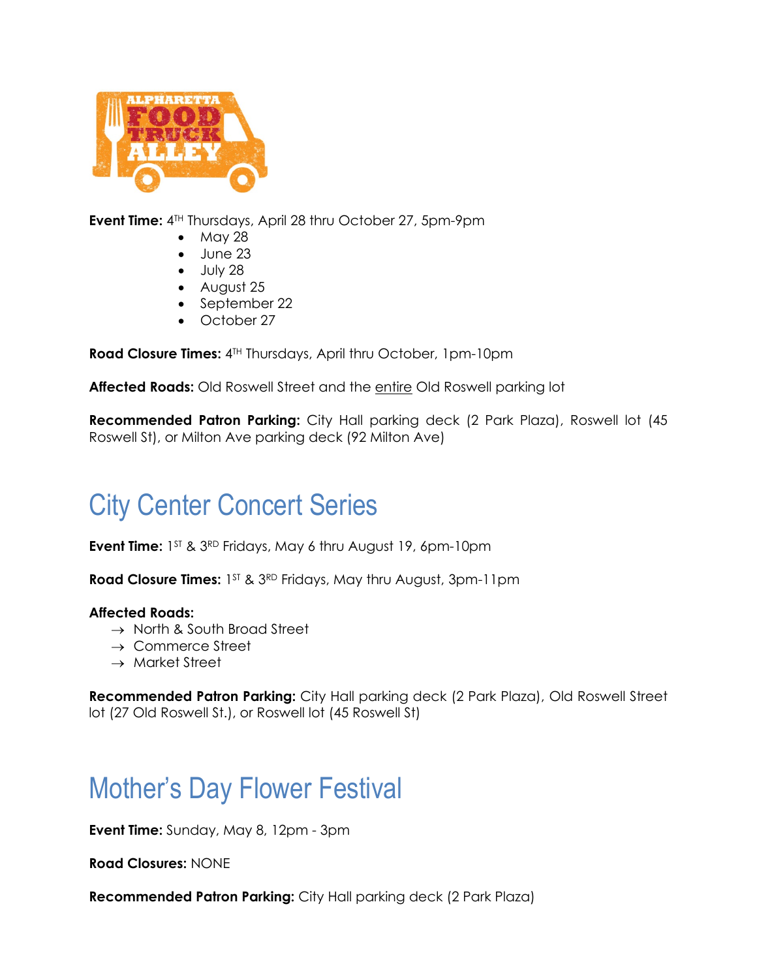

**Event Time:** 4TH Thursdays, April 28 thru October 27, 5pm-9pm

- May 28
- June 23
- $\bullet$  July 28
- August 25
- September 22
- October 27

**Road Closure Times:**  $4^{TH}$  Thursdays, April thru October, 1pm-10pm

Affected Roads: Old Roswell Street and the entire Old Roswell parking lot

**Recommended Patron Parking:** City Hall parking deck (2 Park Plaza), Roswell lot (45 Roswell St), or Milton Ave parking deck (92 Milton Ave)

# City Center Concert Series

**Event Time:** 1<sup>ST</sup> & 3<sup>RD</sup> Fridays, May 6 thru August 19, 6pm-10pm

**Road Closure Times:** 1<sup>ST</sup> & 3<sup>RD</sup> Fridays, May thru August, 3pm-11pm

### **Affected Roads:**

- $\rightarrow$  North & South Broad Street
- $\rightarrow$  Commerce Street
- → Market Street

**Recommended Patron Parking:** City Hall parking deck (2 Park Plaza), Old Roswell Street lot (27 Old Roswell St.), or Roswell lot (45 Roswell St)

# Mother's Day Flower Festival

**Event Time:** Sunday, May 8, 12pm - 3pm

**Road Closures:** NONE

**Recommended Patron Parking:** City Hall parking deck (2 Park Plaza)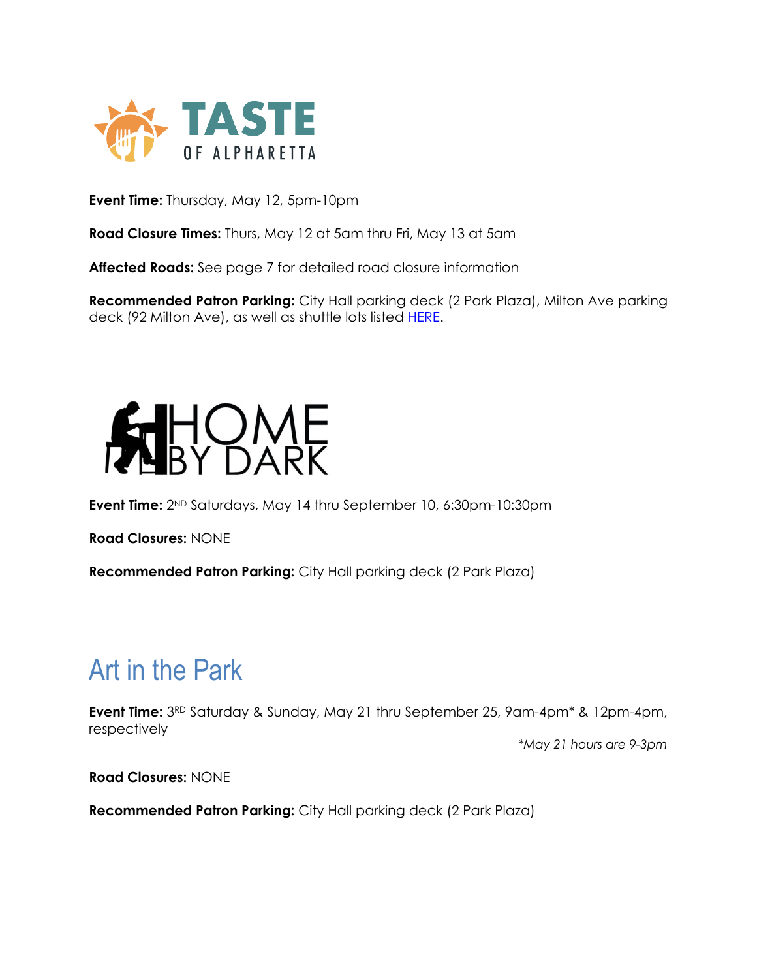

**Event Time:** Thursday, May 12, 5pm-10pm

**Road Closure Times:** Thurs, May 12 at 5am thru Fri, May 13 at 5am

**Affected Roads:** See page 7 for detailed road closure information

**Recommended Patron Parking:** City Hall parking deck (2 Park Plaza), Milton Ave parking deck (92 Milton Ave), as well as shuttle lots listed [HERE.](https://tasteofalpharettaga.com/directions-faq/)



**Event Time:** 2ND Saturdays, May 14 thru September 10, 6:30pm-10:30pm

**Road Closures:** NONE

**Recommended Patron Parking:** City Hall parking deck (2 Park Plaza)

## Art in the Park

**Event Time:**  $3^{RD}$  Saturday & Sunday, May 21 thru September 25, 9am-4pm<sup>\*</sup> & 12pm-4pm, respectively

*\*May 21 hours are 9-3pm*

**Road Closures:** NONE

**Recommended Patron Parking:** City Hall parking deck (2 Park Plaza)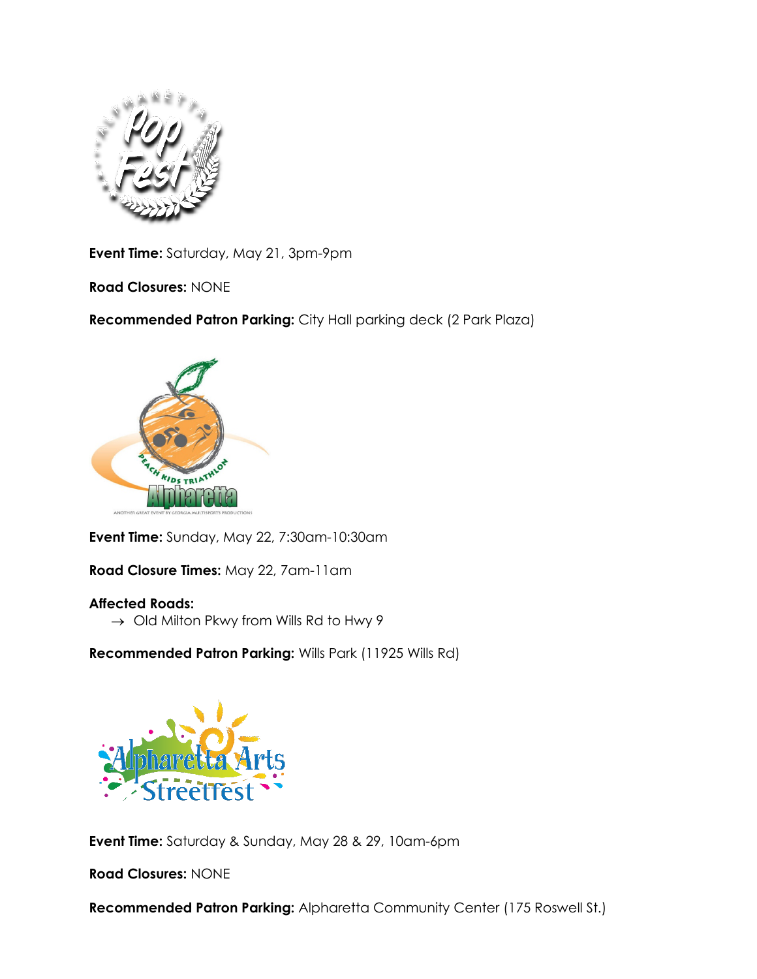

**Event Time:** Saturday, May 21, 3pm-9pm

**Road Closures:** NONE

**Recommended Patron Parking:** City Hall parking deck (2 Park Plaza)



**Event Time:** Sunday, May 22, 7:30am-10:30am

**Road Closure Times:** May 22, 7am-11am

## **Affected Roads:**

 $\rightarrow$  Old Milton Pkwy from Wills Rd to Hwy 9

**Recommended Patron Parking:** Wills Park (11925 Wills Rd)



**Event Time:** Saturday & Sunday, May 28 & 29, 10am-6pm

**Road Closures:** NONE

**Recommended Patron Parking:** Alpharetta Community Center (175 Roswell St.)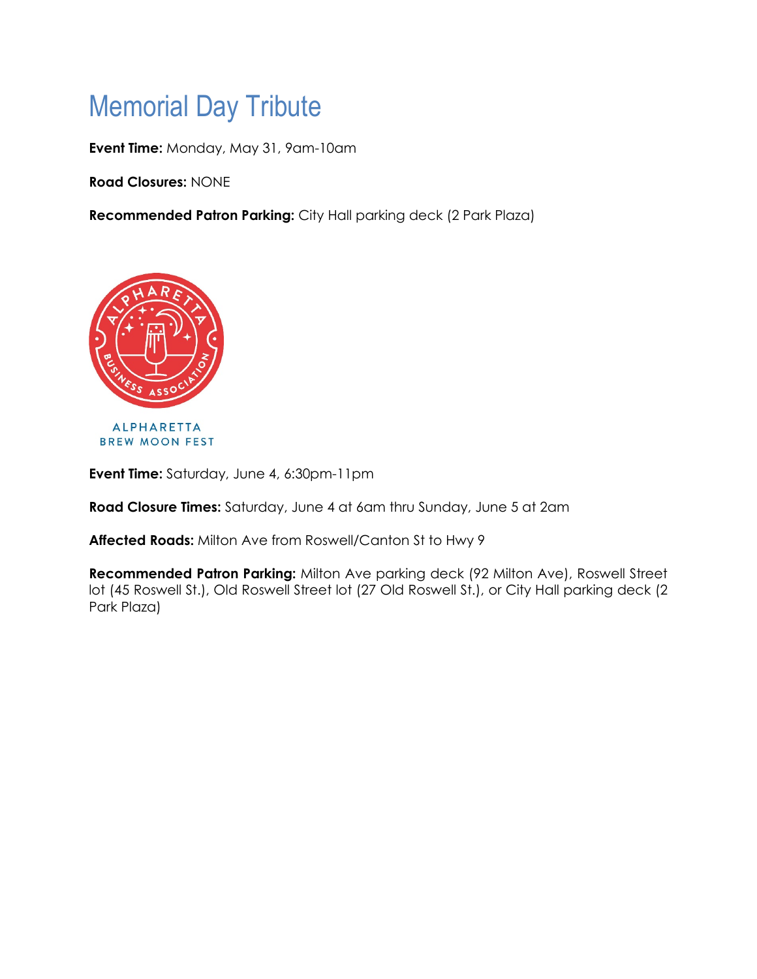# Memorial Day Tribute

**Event Time:** Monday, May 31, 9am-10am

**Road Closures:** NONE

**Recommended Patron Parking:** City Hall parking deck (2 Park Plaza)



**Event Time:** Saturday, June 4, 6:30pm-11pm

**Road Closure Times:** Saturday, June 4 at 6am thru Sunday, June 5 at 2am

**Affected Roads:** Milton Ave from Roswell/Canton St to Hwy 9

**Recommended Patron Parking:** Milton Ave parking deck (92 Milton Ave), Roswell Street lot (45 Roswell St.), Old Roswell Street lot (27 Old Roswell St.), or City Hall parking deck (2 Park Plaza)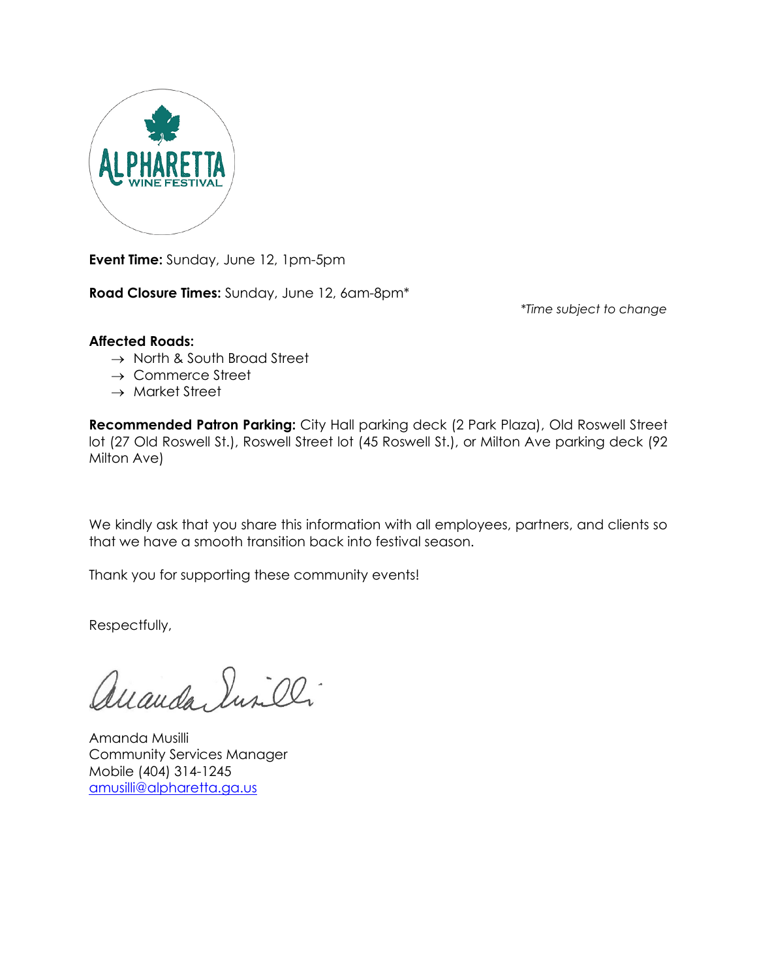

**Event Time:** Sunday, June 12, 1pm-5pm

**Road Closure Times:** Sunday, June 12, 6am-8pm\*

*\*Time subject to change*

### **Affected Roads:**

- → North & South Broad Street
- $\rightarrow$  Commerce Street
- $\rightarrow$  Market Street

**Recommended Patron Parking:** City Hall parking deck (2 Park Plaza), Old Roswell Street lot (27 Old Roswell St.), Roswell Street lot (45 Roswell St.), or Milton Ave parking deck (92 Milton Ave)

We kindly ask that you share this information with all employees, partners, and clients so that we have a smooth transition back into festival season.

Thank you for supporting these community events!

Respectfully,

auanda Surilli

Amanda Musilli Community Services Manager Mobile (404) 314-1245 [amusilli@alpharetta.ga.us](mailto:amusilli@alpharetta.ga.us)